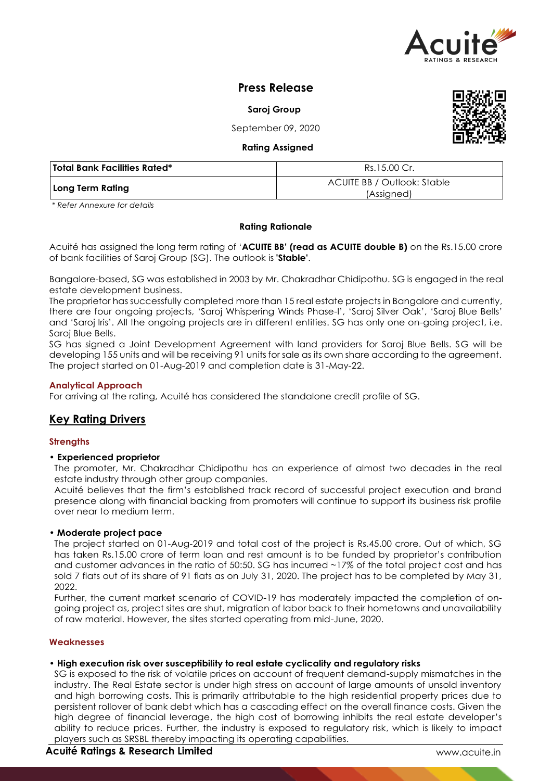

# **Press Release**

**Saroj Group**

September 09, 2020



**Rating Assigned**

| Total Bank Facilities Rated* | Rs.15.00 Cr.                              |
|------------------------------|-------------------------------------------|
| Long Term Rating             | ACUITE BB / Outlook: Stable<br>(Assigned) |

*\* Refer Annexure for details*

#### **Rating Rationale**

Acuité has assigned the long term rating of '**ACUITE BB' (read as ACUITE double B)** on the Rs.15.00 crore of bank facilities of Saroj Group (SG). The outlook is **'Stable'**.

Bangalore-based, SG was established in 2003 by Mr. Chakradhar Chidipothu. SG is engaged in the real estate development business.

The proprietor has successfully completed more than 15 real estate projects in Bangalore and currently, there are four ongoing projects, 'Saroj Whispering Winds Phase-I', 'Saroj Silver Oak', 'Saroj Blue Bells' and 'Saroj Iris'. All the ongoing projects are in different entities. SG has only one on-going project, i.e. Saroj Blue Bells.

SG has signed a Joint Development Agreement with land providers for Saroj Blue Bells. SG will be developing 155 units and will be receiving 91 units for sale as its own share according to the agreement. The project started on 01-Aug-2019 and completion date is 31-May-22.

## **Analytical Approach**

For arriving at the rating, Acuité has considered the standalone credit profile of SG.

# **Key Rating Drivers**

## **Strengths**

## • **Experienced proprietor**

The promoter, Mr. Chakradhar Chidipothu has an experience of almost two decades in the real estate industry through other group companies.

Acuité believes that the firm's established track record of successful project execution and brand presence along with financial backing from promoters will continue to support its business risk profile over near to medium term.

## • **Moderate project pace**

The project started on 01-Aug-2019 and total cost of the project is Rs.45.00 crore. Out of which, SG has taken Rs.15.00 crore of term loan and rest amount is to be funded by proprietor's contribution and customer advances in the ratio of 50:50. SG has incurred ~17% of the total project cost and has sold 7 flats out of its share of 91 flats as on July 31, 2020. The project has to be completed by May 31, 2022.

Further, the current market scenario of COVID-19 has moderately impacted the completion of ongoing project as, project sites are shut, migration of labor back to their hometowns and unavailability of raw material. However, the sites started operating from mid-June, 2020.

## **Weaknesses**

## • **High execution risk over susceptibility to real estate cyclicality and regulatory risks**

SG is exposed to the risk of volatile prices on account of frequent demand-supply mismatches in the industry. The Real Estate sector is under high stress on account of large amounts of unsold inventory and high borrowing costs. This is primarily attributable to the high residential property prices due to persistent rollover of bank debt which has a cascading effect on the overall finance costs. Given the high degree of financial leverage, the high cost of borrowing inhibits the real estate developer's ability to reduce prices. Further, the industry is exposed to regulatory risk, which is likely to impact players such as SRSBL thereby impacting its operating capabilities.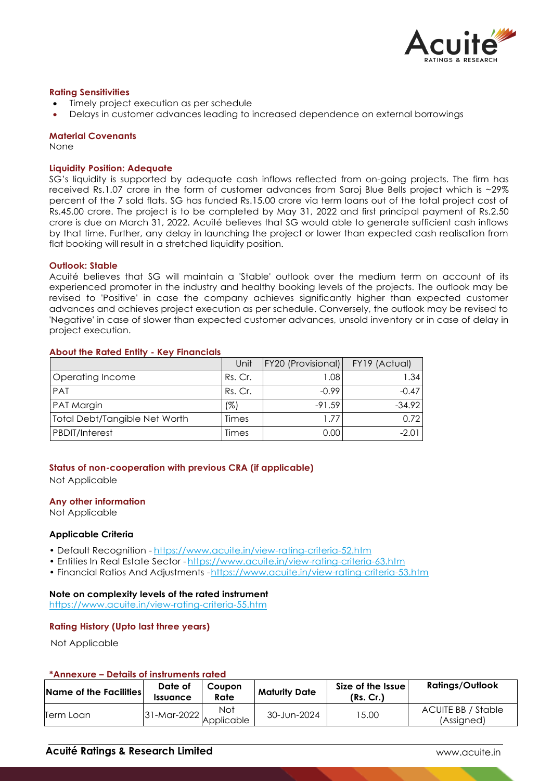

## **Rating Sensitivities**

- Timely project execution as per schedule
- Delays in customer advances leading to increased dependence on external borrowings

#### **Material Covenants**

None

#### **Liquidity Position: Adequate**

SG's liquidity is supported by adequate cash inflows reflected from on-going projects. The firm has received Rs.1.07 crore in the form of customer advances from Saroj Blue Bells project which is ~29% percent of the 7 sold flats. SG has funded Rs.15.00 crore via term loans out of the total project cost of Rs.45.00 crore. The project is to be completed by May 31, 2022 and first principal payment of Rs.2.50 crore is due on March 31, 2022. Acuité believes that SG would able to generate sufficient cash inflows by that time. Further, any delay in launching the project or lower than expected cash realisation from flat booking will result in a stretched liquidity position.

#### **Outlook: Stable**

Acuité believes that SG will maintain a 'Stable' outlook over the medium term on account of its experienced promoter in the industry and healthy booking levels of the projects. The outlook may be revised to 'Positive' in case the company achieves significantly higher than expected customer advances and achieves project execution as per schedule. Conversely, the outlook may be revised to 'Negative' in case of slower than expected customer advances, unsold inventory or in case of delay in project execution.

## **About the Rated Entity - Key Financials**

|                                      | Unit    | <b>FY20 (Provisional)</b> | FY19 (Actual) |
|--------------------------------------|---------|---------------------------|---------------|
| Operating Income                     | Rs. Cr. | 1.08                      | 1.34          |
| PAT                                  | Rs. Cr. | $-0.99$                   | $-0.47$       |
| PAT Margin                           | (%)     | $-91.59$                  | $-34.92$      |
| <b>Total Debt/Tangible Net Worth</b> | Times   | 1.77                      | 0.72          |
| PBDIT/Interest                       | Times   | 0.00                      | -2.01         |

## **Status of non-cooperation with previous CRA (if applicable)**

Not Applicable

## **Any other information**

Not Applicable

## **Applicable Criteria**

- Default Recognition https://www.acuite.in/view-rating-criteria-52.htm
- Entities In Real Estate Sector https://www.acuite.in/view-rating-criteria-63.htm
- Financial Ratios And Adjustments -https://www.acuite.in/view-rating-criteria-53.htm

#### **Note on complexity levels of the rated instrument**

https://www.acuite.in/view-rating-criteria-55.htm

## **Rating History (Upto last three years)**

Not Applicable

## **\*Annexure – Details of instruments rated**

| Name of the Facilities | Date of<br><i><u><b>Issuance</b></u></i> | Coupon<br>Rate    | <b>Maturity Date</b> | Size of the Issue<br>(Rs, Cr.) | <b>Ratings/Outlook</b>           |
|------------------------|------------------------------------------|-------------------|----------------------|--------------------------------|----------------------------------|
| Term Loan              | $31$ -Mar-2022                           | Not<br>Applicable | 30-Jun-2024          | 5.00                           | ACUITE BB / Stable<br>(Assigned) |